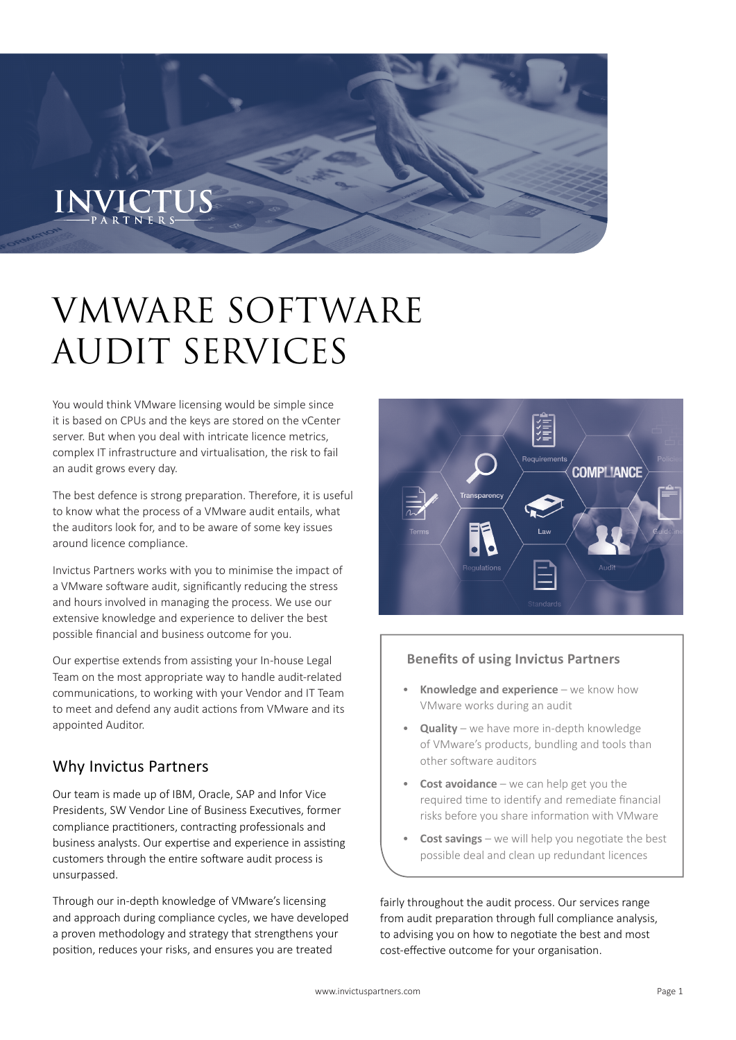# VMWARE SOFTWARE AUDIT SERVICES

You would think VMware licensing would be simple since it is based on CPUs and the keys are stored on the vCenter server. But when you deal with intricate licence metrics, complex IT infrastructure and virtualisation, the risk to fail an audit grows every day.

The best defence is strong preparation. Therefore, it is useful to know what the process of a VMware audit entails, what the auditors look for, and to be aware of some key issues around licence compliance.

Invictus Partners works with you to minimise the impact of a VMware software audit, significantly reducing the stress and hours involved in managing the process. We use our extensive knowledge and experience to deliver the best possible financial and business outcome for you.

Our expertise extends from assisting your In-house Legal Team on the most appropriate way to handle audit-related communications, to working with your Vendor and IT Team to meet and defend any audit actions from VMware and its appointed Auditor.

# Why Invictus Partners

Our team is made up of IBM, Oracle, SAP and Infor Vice Presidents, SW Vendor Line of Business Executives, former compliance practitioners, contracting professionals and business analysts. Our expertise and experience in assisting customers through the entire software audit process is unsurpassed.

Through our in-depth knowledge of VMware's licensing and approach during compliance cycles, we have developed a proven methodology and strategy that strengthens your position, reduces your risks, and ensures you are treated



### **Benefits of using Invictus Partners**

- **Knowledge and experience** we know how VMware works during an audit
- **Quality** we have more in-depth knowledge of VMware's products, bundling and tools than other software auditors
- **Cost avoidance** we can help get you the required time to identify and remediate financial risks before you share information with VMware
- **Cost savings** we will help you negotiate the best possible deal and clean up redundant licences

fairly throughout the audit process. Our services range from audit preparation through full compliance analysis, to advising you on how to negotiate the best and most cost-effective outcome for your organisation.